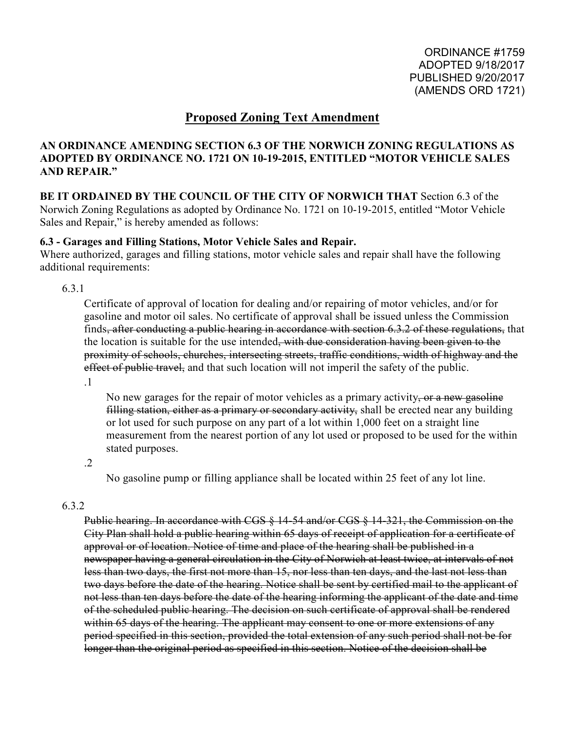## **Proposed Zoning Text Amendment**

### **AN ORDINANCE AMENDING SECTION 6.3 OF THE NORWICH ZONING REGULATIONS AS ADOPTED BY ORDINANCE NO. 1721 ON 10-19-2015, ENTITLED "MOTOR VEHICLE SALES AND REPAIR."**

# **BE IT ORDAINED BY THE COUNCIL OF THE CITY OF NORWICH THAT** Section 6.3 of the

Norwich Zoning Regulations as adopted by Ordinance No. 1721 on 10-19-2015, entitled "Motor Vehicle Sales and Repair," is hereby amended as follows:

### **6.3 - Garages and Filling Stations, Motor Vehicle Sales and Repair.**

Where authorized, garages and filling stations, motor vehicle sales and repair shall have the following additional requirements:

6.3.1

Certificate of approval of location for dealing and/or repairing of motor vehicles, and/or for gasoline and motor oil sales. No certificate of approval shall be issued unless the Commission finds, after conducting a public hearing in accordance with section 6.3.2 of these regulations, that the location is suitable for the use intended, with due consideration having been given to the proximity of schools, churches, intersecting streets, traffic conditions, width of highway and the effect of public travel, and that such location will not imperil the safety of the public.

.1

No new garages for the repair of motor vehicles as a primary activity, or a new gasoline filling station, either as a primary or secondary activity, shall be erected near any building or lot used for such purpose on any part of a lot within 1,000 feet on a straight line measurement from the nearest portion of any lot used or proposed to be used for the within stated purposes.

.2

No gasoline pump or filling appliance shall be located within 25 feet of any lot line.

### 6.3.2

Public hearing. In accordance with CGS § 14-54 and/or CGS § 14-321, the Commission on the City Plan shall hold a public hearing within 65 days of receipt of application for a certificate of approval or of location. Notice of time and place of the hearing shall be published in a newspaper having a general circulation in the City of Norwich at least twice, at intervals of not less than two days, the first not more than 15, nor less than ten days, and the last not less than two days before the date of the hearing. Notice shall be sent by certified mail to the applicant of not less than ten days before the date of the hearing informing the applicant of the date and time of the scheduled public hearing. The decision on such certificate of approval shall be rendered within 65 days of the hearing. The applicant may consent to one or more extensions of any period specified in this section, provided the total extension of any such period shall not be for longer than the original period as specified in this section. Notice of the decision shall be